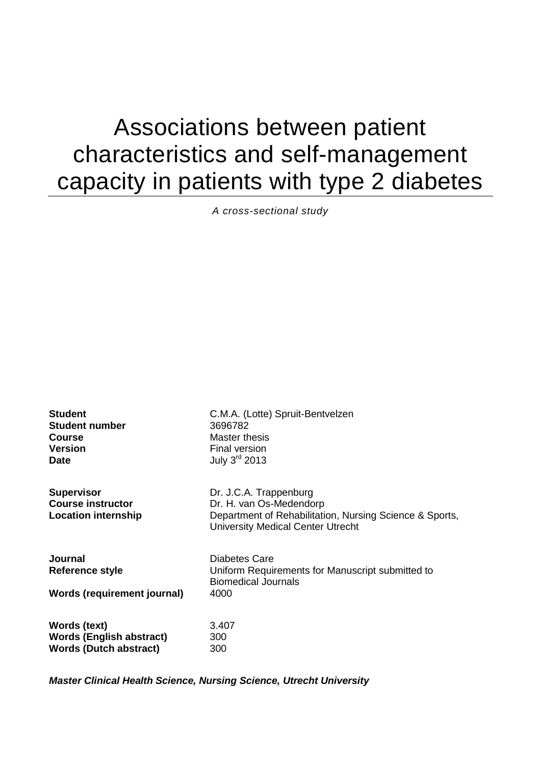# Associations between patient characteristics and self-management capacity in patients with type 2 diabetes

*A cross-sectional study*

| <b>Student</b>                                                              | C.M.A. (Lotte) Spruit-Bentvelzen                                                                                                                         |
|-----------------------------------------------------------------------------|----------------------------------------------------------------------------------------------------------------------------------------------------------|
| <b>Student number</b>                                                       | 3696782                                                                                                                                                  |
| <b>Course</b>                                                               | Master thesis                                                                                                                                            |
| <b>Version</b>                                                              | Final version                                                                                                                                            |
| <b>Date</b>                                                                 | July $3^{\text{rd}}$ 2013                                                                                                                                |
| <b>Supervisor</b><br><b>Course instructor</b><br><b>Location internship</b> | Dr. J.C.A. Trappenburg<br>Dr. H. van Os-Medendorp<br>Department of Rehabilitation, Nursing Science & Sports,<br><b>University Medical Center Utrecht</b> |
| <b>Journal</b><br>Reference style<br><b>Words (requirement journal)</b>     | Diabetes Care<br>Uniform Requirements for Manuscript submitted to<br><b>Biomedical Journals</b><br>4000                                                  |
| Words (text)                                                                | 3.407                                                                                                                                                    |
| <b>Words (English abstract)</b>                                             | 300                                                                                                                                                      |
| <b>Words (Dutch abstract)</b>                                               | 300                                                                                                                                                      |

*Master Clinical Health Science, Nursing Science, Utrecht University*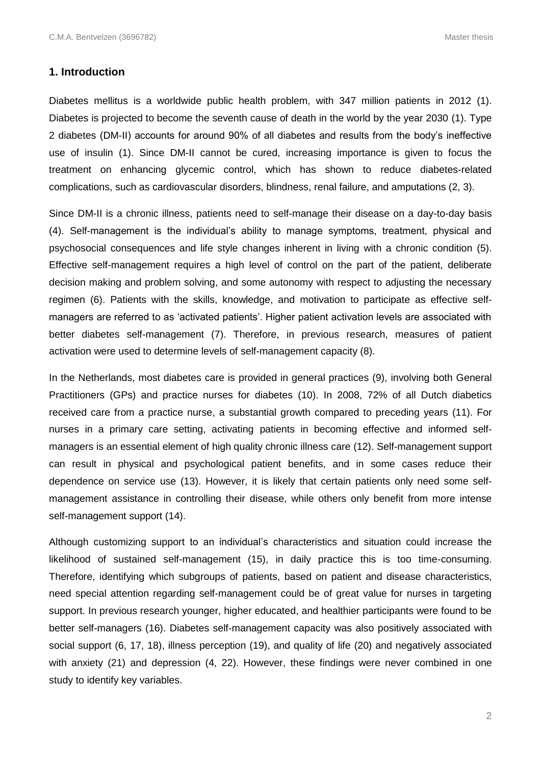#### **1. Introduction**

Diabetes mellitus is a worldwide public health problem, with 347 million patients in 2012 (1). Diabetes is projected to become the seventh cause of death in the world by the year 2030 (1). Type 2 diabetes (DM-II) accounts for around 90% of all diabetes and results from the body's ineffective use of insulin (1). Since DM-II cannot be cured, increasing importance is given to focus the treatment on enhancing glycemic control, which has shown to reduce diabetes-related complications, such as cardiovascular disorders, blindness, renal failure, and amputations (2, 3).

Since DM-II is a chronic illness, patients need to self-manage their disease on a day-to-day basis (4). Self-management is the individual's ability to manage symptoms, treatment, physical and psychosocial consequences and life style changes inherent in living with a chronic condition (5). Effective self-management requires a high level of control on the part of the patient, deliberate decision making and problem solving, and some autonomy with respect to adjusting the necessary regimen (6). Patients with the skills, knowledge, and motivation to participate as effective selfmanagers are referred to as 'activated patients'. Higher patient activation levels are associated with better diabetes self-management (7). Therefore, in previous research, measures of patient activation were used to determine levels of self-management capacity (8).

In the Netherlands, most diabetes care is provided in general practices (9), involving both General Practitioners (GPs) and practice nurses for diabetes (10). In 2008, 72% of all Dutch diabetics received care from a practice nurse, a substantial growth compared to preceding years (11). For nurses in a primary care setting, activating patients in becoming effective and informed selfmanagers is an essential element of high quality chronic illness care (12). Self-management support can result in physical and psychological patient benefits, and in some cases reduce their dependence on service use (13). However, it is likely that certain patients only need some selfmanagement assistance in controlling their disease, while others only benefit from more intense self-management support (14).

Although customizing support to an individual's characteristics and situation could increase the likelihood of sustained self-management (15), in daily practice this is too time-consuming. Therefore, identifying which subgroups of patients, based on patient and disease characteristics, need special attention regarding self-management could be of great value for nurses in targeting support. In previous research younger, higher educated, and healthier participants were found to be better self-managers (16). Diabetes self-management capacity was also positively associated with social support (6, 17, 18), illness perception (19), and quality of life (20) and negatively associated with anxiety (21) and depression (4, 22). However, these findings were never combined in one study to identify key variables.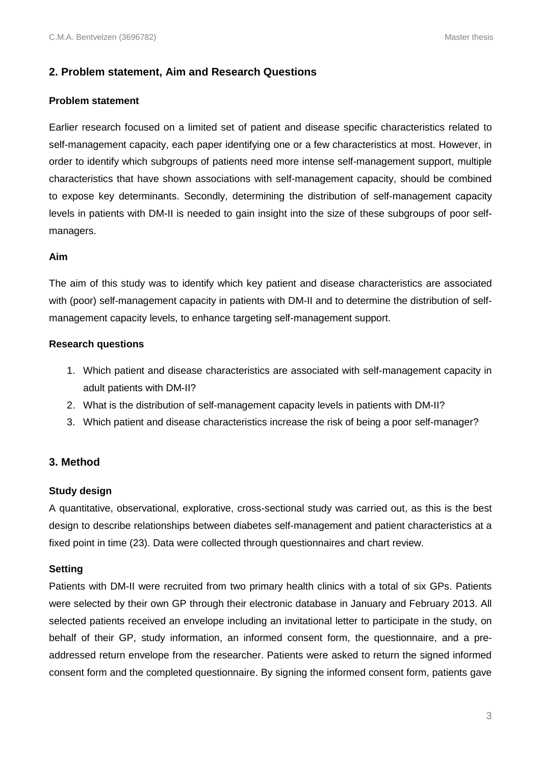## **2. Problem statement, Aim and Research Questions**

#### **Problem statement**

Earlier research focused on a limited set of patient and disease specific characteristics related to self-management capacity, each paper identifying one or a few characteristics at most. However, in order to identify which subgroups of patients need more intense self-management support, multiple characteristics that have shown associations with self-management capacity, should be combined to expose key determinants. Secondly, determining the distribution of self-management capacity levels in patients with DM-II is needed to gain insight into the size of these subgroups of poor selfmanagers.

#### **Aim**

The aim of this study was to identify which key patient and disease characteristics are associated with (poor) self-management capacity in patients with DM-II and to determine the distribution of selfmanagement capacity levels, to enhance targeting self-management support.

#### **Research questions**

- 1. Which patient and disease characteristics are associated with self-management capacity in adult patients with DM-II?
- 2. What is the distribution of self-management capacity levels in patients with DM-II?
- 3. Which patient and disease characteristics increase the risk of being a poor self-manager?

## **3. Method**

#### **Study design**

A quantitative, observational, explorative, cross-sectional study was carried out, as this is the best design to describe relationships between diabetes self-management and patient characteristics at a fixed point in time (23). Data were collected through questionnaires and chart review.

#### **Setting**

Patients with DM-II were recruited from two primary health clinics with a total of six GPs. Patients were selected by their own GP through their electronic database in January and February 2013. All selected patients received an envelope including an invitational letter to participate in the study, on behalf of their GP, study information, an informed consent form, the questionnaire, and a preaddressed return envelope from the researcher. Patients were asked to return the signed informed consent form and the completed questionnaire. By signing the informed consent form, patients gave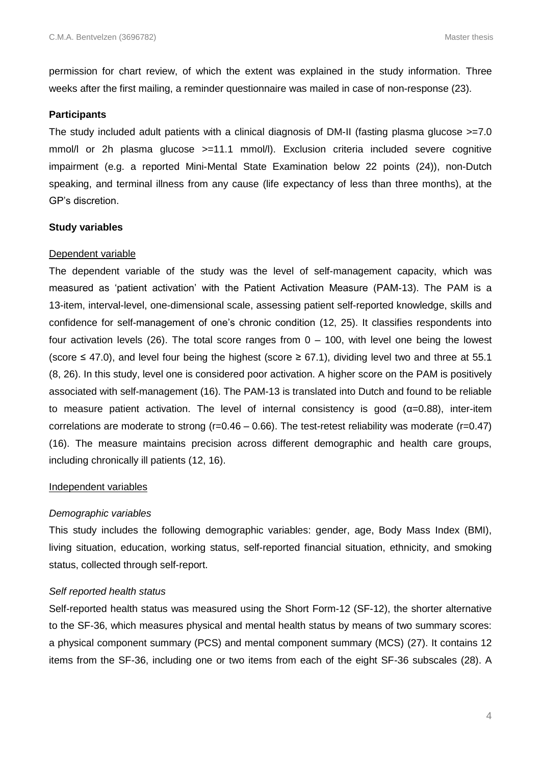permission for chart review, of which the extent was explained in the study information. Three weeks after the first mailing, a reminder questionnaire was mailed in case of non-response (23).

#### **Participants**

The study included adult patients with a clinical diagnosis of DM-II (fasting plasma glucose  $>=7.0$ mmol/l or 2h plasma glucose >=11.1 mmol/l). Exclusion criteria included severe cognitive impairment (e.g. a reported Mini-Mental State Examination below 22 points (24)), non-Dutch speaking, and terminal illness from any cause (life expectancy of less than three months), at the GP's discretion.

#### **Study variables**

#### Dependent variable

The dependent variable of the study was the level of self-management capacity, which was measured as 'patient activation' with the Patient Activation Measure (PAM-13). The PAM is a 13-item, interval-level, one-dimensional scale, assessing patient self-reported knowledge, skills and confidence for self-management of one's chronic condition (12, 25). It classifies respondents into four activation levels (26). The total score ranges from  $0 - 100$ , with level one being the lowest (score ≤ 47.0), and level four being the highest (score ≥ 67.1), dividing level two and three at 55.1 (8, 26). In this study, level one is considered poor activation. A higher score on the PAM is positively associated with self-management (16). The PAM-13 is translated into Dutch and found to be reliable to measure patient activation. The level of internal consistency is good (α=0.88), inter-item correlations are moderate to strong ( $r=0.46 - 0.66$ ). The test-retest reliability was moderate ( $r=0.47$ ) (16). The measure maintains precision across different demographic and health care groups, including chronically ill patients (12, 16).

#### Independent variables

#### *Demographic variables*

This study includes the following demographic variables: gender, age, Body Mass Index (BMI), living situation, education, working status, self-reported financial situation, ethnicity, and smoking status, collected through self-report.

#### *Self reported health status*

Self-reported health status was measured using the Short Form-12 (SF-12), the shorter alternative to the SF-36, which measures physical and mental health status by means of two summary scores: a physical component summary (PCS) and mental component summary (MCS) (27). It contains 12 items from the SF-36, including one or two items from each of the eight SF-36 subscales (28). A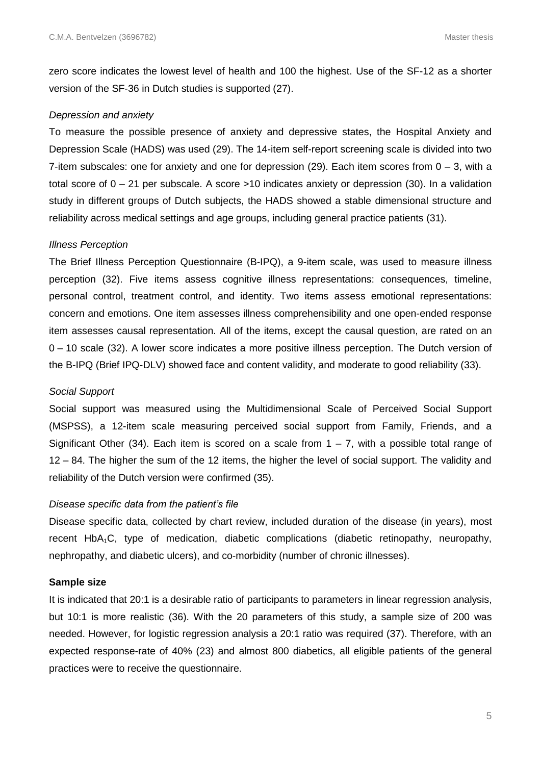zero score indicates the lowest level of health and 100 the highest. Use of the SF-12 as a shorter version of the SF-36 in Dutch studies is supported (27).

#### *Depression and anxiety*

To measure the possible presence of anxiety and depressive states, the Hospital Anxiety and Depression Scale (HADS) was used (29). The 14-item self-report screening scale is divided into two 7-item subscales: one for anxiety and one for depression (29). Each item scores from  $0 - 3$ , with a total score of 0 – 21 per subscale. A score >10 indicates anxiety or depression (30). In a validation study in different groups of Dutch subjects, the HADS showed a stable dimensional structure and reliability across medical settings and age groups, including general practice patients (31).

#### *Illness Perception*

The Brief Illness Perception Questionnaire (B-IPQ), a 9-item scale, was used to measure illness perception (32). Five items assess cognitive illness representations: consequences, timeline, personal control, treatment control, and identity. Two items assess emotional representations: concern and emotions. One item assesses illness comprehensibility and one open-ended response item assesses causal representation. All of the items, except the causal question, are rated on an 0 – 10 scale (32). A lower score indicates a more positive illness perception. The Dutch version of the B-IPQ (Brief IPQ-DLV) showed face and content validity, and moderate to good reliability (33).

#### *Social Support*

Social support was measured using the Multidimensional Scale of Perceived Social Support (MSPSS), a 12-item scale measuring perceived social support from Family, Friends, and a Significant Other (34). Each item is scored on a scale from  $1 - 7$ , with a possible total range of 12 – 84. The higher the sum of the 12 items, the higher the level of social support. The validity and reliability of the Dutch version were confirmed (35).

#### *Disease specific data from the patient's file*

Disease specific data, collected by chart review, included duration of the disease (in years), most recent HbA<sub>1</sub>C, type of medication, diabetic complications (diabetic retinopathy, neuropathy, nephropathy, and diabetic ulcers), and co-morbidity (number of chronic illnesses).

#### **Sample size**

It is indicated that 20:1 is a desirable ratio of participants to parameters in linear regression analysis, but 10:1 is more realistic (36). With the 20 parameters of this study, a sample size of 200 was needed. However, for logistic regression analysis a 20:1 ratio was required (37). Therefore, with an expected response-rate of 40% (23) and almost 800 diabetics, all eligible patients of the general practices were to receive the questionnaire.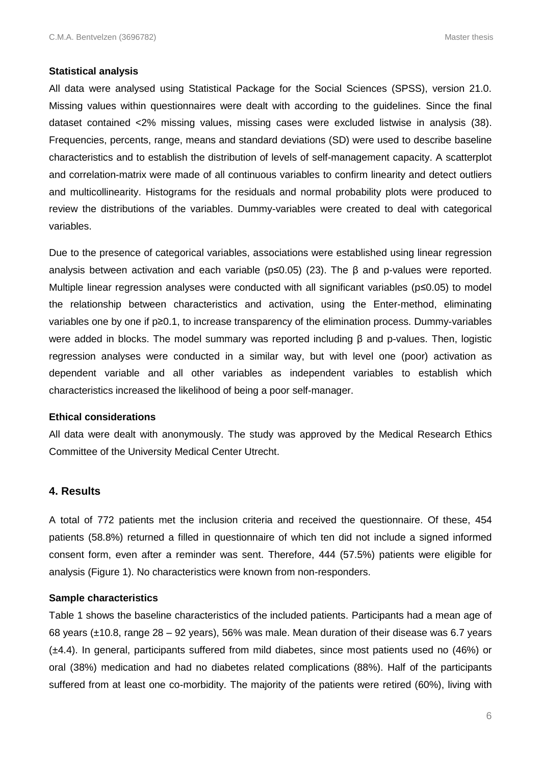#### **Statistical analysis**

All data were analysed using Statistical Package for the Social Sciences (SPSS), version 21.0. Missing values within questionnaires were dealt with according to the guidelines. Since the final dataset contained <2% missing values, missing cases were excluded listwise in analysis (38). Frequencies, percents, range, means and standard deviations (SD) were used to describe baseline characteristics and to establish the distribution of levels of self-management capacity. A scatterplot and correlation-matrix were made of all continuous variables to confirm linearity and detect outliers and multicollinearity. Histograms for the residuals and normal probability plots were produced to review the distributions of the variables. Dummy-variables were created to deal with categorical variables.

Due to the presence of categorical variables, associations were established using linear regression analysis between activation and each variable (p≤0.05) (23). The β and p-values were reported. Multiple linear regression analyses were conducted with all significant variables (p≤0.05) to model the relationship between characteristics and activation, using the Enter-method, eliminating variables one by one if p≥0.1, to increase transparency of the elimination process. Dummy-variables were added in blocks. The model summary was reported including β and p-values. Then, logistic regression analyses were conducted in a similar way, but with level one (poor) activation as dependent variable and all other variables as independent variables to establish which characteristics increased the likelihood of being a poor self-manager.

#### **Ethical considerations**

All data were dealt with anonymously. The study was approved by the Medical Research Ethics Committee of the University Medical Center Utrecht.

#### **4. Results**

A total of 772 patients met the inclusion criteria and received the questionnaire. Of these, 454 patients (58.8%) returned a filled in questionnaire of which ten did not include a signed informed consent form, even after a reminder was sent. Therefore, 444 (57.5%) patients were eligible for analysis (Figure 1). No characteristics were known from non-responders.

#### **Sample characteristics**

Table 1 shows the baseline characteristics of the included patients. Participants had a mean age of 68 years (±10.8, range 28 – 92 years), 56% was male. Mean duration of their disease was 6.7 years (±4.4). In general, participants suffered from mild diabetes, since most patients used no (46%) or oral (38%) medication and had no diabetes related complications (88%). Half of the participants suffered from at least one co-morbidity. The majority of the patients were retired (60%), living with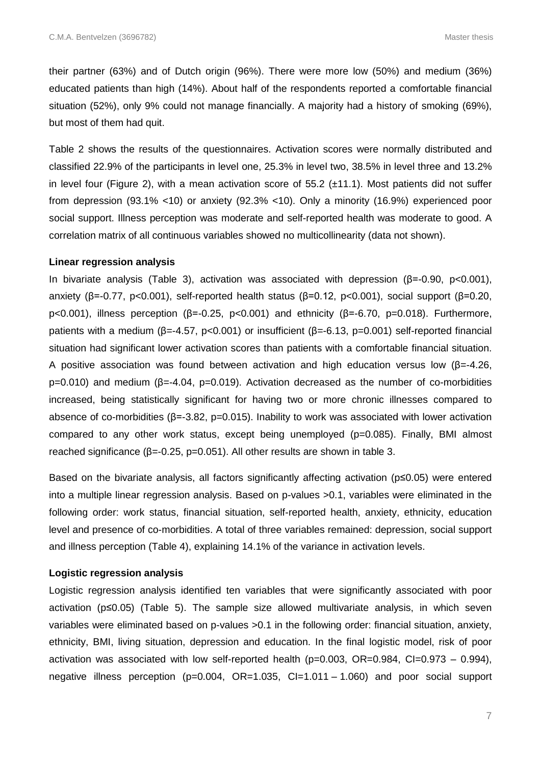their partner (63%) and of Dutch origin (96%). There were more low (50%) and medium (36%) educated patients than high (14%). About half of the respondents reported a comfortable financial situation (52%), only 9% could not manage financially. A majority had a history of smoking (69%), but most of them had quit.

Table 2 shows the results of the questionnaires. Activation scores were normally distributed and classified 22.9% of the participants in level one, 25.3% in level two, 38.5% in level three and 13.2% in level four (Figure 2), with a mean activation score of  $55.2$  ( $\pm$ 11.1). Most patients did not suffer from depression (93.1% <10) or anxiety (92.3% <10). Only a minority (16.9%) experienced poor social support. Illness perception was moderate and self-reported health was moderate to good. A correlation matrix of all continuous variables showed no multicollinearity (data not shown).

#### **Linear regression analysis**

In bivariate analysis (Table 3), activation was associated with depression (β=-0.90, p<0.001), anxiety (β=-0.77, p<0.001), self-reported health status (β=0.12, p<0.001), social support (β=0.20, p<0.001), illness perception (β=-0.25, p<0.001) and ethnicity (β=-6.70, p=0.018). Furthermore, patients with a medium (β=-4.57, p<0.001) or insufficient (β=-6.13, p=0.001) self-reported financial situation had significant lower activation scores than patients with a comfortable financial situation. A positive association was found between activation and high education versus low ( $\beta$ =-4.26, p=0.010) and medium (β=-4.04, p=0.019). Activation decreased as the number of co-morbidities increased, being statistically significant for having two or more chronic illnesses compared to absence of co-morbidities (β=-3.82, p=0.015). Inability to work was associated with lower activation compared to any other work status, except being unemployed (p=0.085). Finally, BMI almost reached significance (β=-0.25, p=0.051). All other results are shown in table 3.

Based on the bivariate analysis, all factors significantly affecting activation (p≤0.05) were entered into a multiple linear regression analysis. Based on p-values >0.1, variables were eliminated in the following order: work status, financial situation, self-reported health, anxiety, ethnicity, education level and presence of co-morbidities. A total of three variables remained: depression, social support and illness perception (Table 4), explaining 14.1% of the variance in activation levels.

#### **Logistic regression analysis**

Logistic regression analysis identified ten variables that were significantly associated with poor activation (p≤0.05) (Table 5). The sample size allowed multivariate analysis, in which seven variables were eliminated based on p-values >0.1 in the following order: financial situation, anxiety, ethnicity, BMI, living situation, depression and education. In the final logistic model, risk of poor activation was associated with low self-reported health (p=0.003, OR=0.984, CI=0.973 – 0.994), negative illness perception (p=0.004, OR=1.035, CI=1.011 – 1.060) and poor social support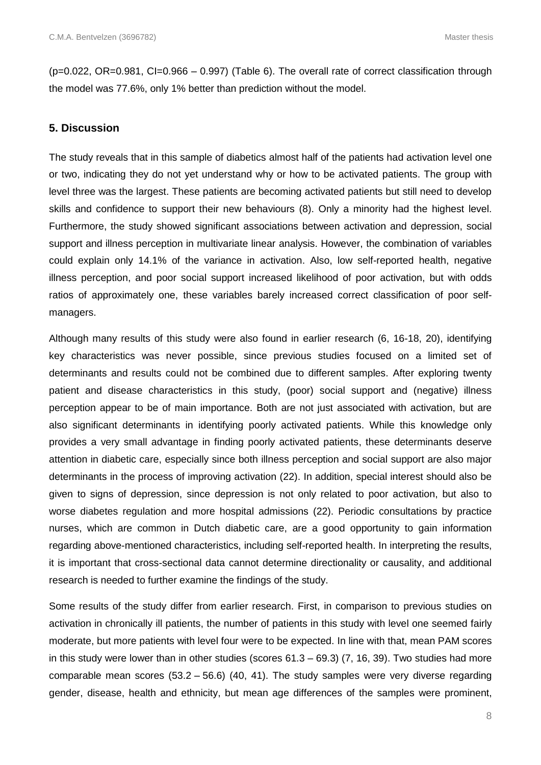(p=0.022, OR=0.981, CI=0.966 – 0.997) (Table 6). The overall rate of correct classification through the model was 77.6%, only 1% better than prediction without the model.

#### **5. Discussion**

The study reveals that in this sample of diabetics almost half of the patients had activation level one or two, indicating they do not yet understand why or how to be activated patients. The group with level three was the largest. These patients are becoming activated patients but still need to develop skills and confidence to support their new behaviours (8). Only a minority had the highest level. Furthermore, the study showed significant associations between activation and depression, social support and illness perception in multivariate linear analysis. However, the combination of variables could explain only 14.1% of the variance in activation. Also, low self-reported health, negative illness perception, and poor social support increased likelihood of poor activation, but with odds ratios of approximately one, these variables barely increased correct classification of poor selfmanagers.

Although many results of this study were also found in earlier research (6, 16-18, 20), identifying key characteristics was never possible, since previous studies focused on a limited set of determinants and results could not be combined due to different samples. After exploring twenty patient and disease characteristics in this study, (poor) social support and (negative) illness perception appear to be of main importance. Both are not just associated with activation, but are also significant determinants in identifying poorly activated patients. While this knowledge only provides a very small advantage in finding poorly activated patients, these determinants deserve attention in diabetic care, especially since both illness perception and social support are also major determinants in the process of improving activation (22). In addition, special interest should also be given to signs of depression, since depression is not only related to poor activation, but also to worse diabetes regulation and more hospital admissions (22). Periodic consultations by practice nurses, which are common in Dutch diabetic care, are a good opportunity to gain information regarding above-mentioned characteristics, including self-reported health. In interpreting the results, it is important that cross-sectional data cannot determine directionality or causality, and additional research is needed to further examine the findings of the study.

Some results of the study differ from earlier research. First, in comparison to previous studies on activation in chronically ill patients, the number of patients in this study with level one seemed fairly moderate, but more patients with level four were to be expected. In line with that, mean PAM scores in this study were lower than in other studies (scores  $61.3 - 69.3$ )  $(7, 16, 39)$ . Two studies had more comparable mean scores (53.2 – 56.6) (40, 41). The study samples were very diverse regarding gender, disease, health and ethnicity, but mean age differences of the samples were prominent,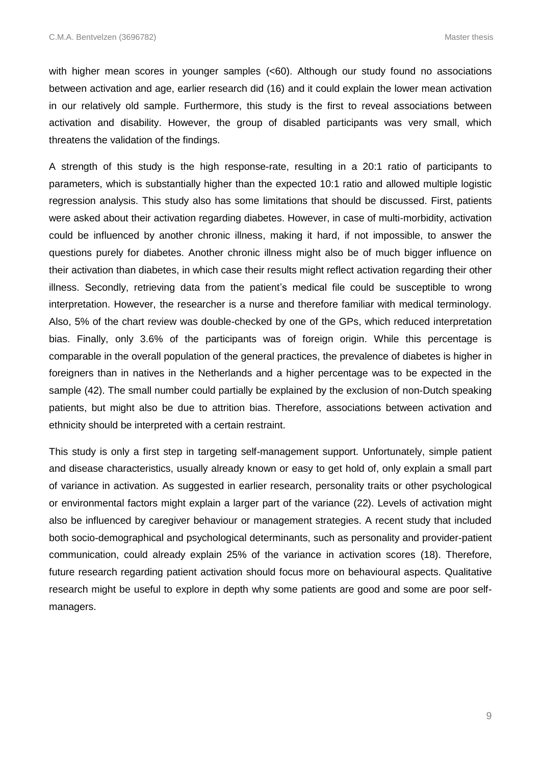with higher mean scores in younger samples (<60). Although our study found no associations between activation and age, earlier research did (16) and it could explain the lower mean activation in our relatively old sample. Furthermore, this study is the first to reveal associations between activation and disability. However, the group of disabled participants was very small, which threatens the validation of the findings.

A strength of this study is the high response-rate, resulting in a 20:1 ratio of participants to parameters, which is substantially higher than the expected 10:1 ratio and allowed multiple logistic regression analysis. This study also has some limitations that should be discussed. First, patients were asked about their activation regarding diabetes. However, in case of multi-morbidity, activation could be influenced by another chronic illness, making it hard, if not impossible, to answer the questions purely for diabetes. Another chronic illness might also be of much bigger influence on their activation than diabetes, in which case their results might reflect activation regarding their other illness. Secondly, retrieving data from the patient's medical file could be susceptible to wrong interpretation. However, the researcher is a nurse and therefore familiar with medical terminology. Also, 5% of the chart review was double-checked by one of the GPs, which reduced interpretation bias. Finally, only 3.6% of the participants was of foreign origin. While this percentage is comparable in the overall population of the general practices, the prevalence of diabetes is higher in foreigners than in natives in the Netherlands and a higher percentage was to be expected in the sample (42). The small number could partially be explained by the exclusion of non-Dutch speaking patients, but might also be due to attrition bias. Therefore, associations between activation and ethnicity should be interpreted with a certain restraint.

This study is only a first step in targeting self-management support. Unfortunately, simple patient and disease characteristics, usually already known or easy to get hold of, only explain a small part of variance in activation. As suggested in earlier research, personality traits or other psychological or environmental factors might explain a larger part of the variance (22). Levels of activation might also be influenced by caregiver behaviour or management strategies. A recent study that included both socio-demographical and psychological determinants, such as personality and provider-patient communication, could already explain 25% of the variance in activation scores (18). Therefore, future research regarding patient activation should focus more on behavioural aspects. Qualitative research might be useful to explore in depth why some patients are good and some are poor selfmanagers.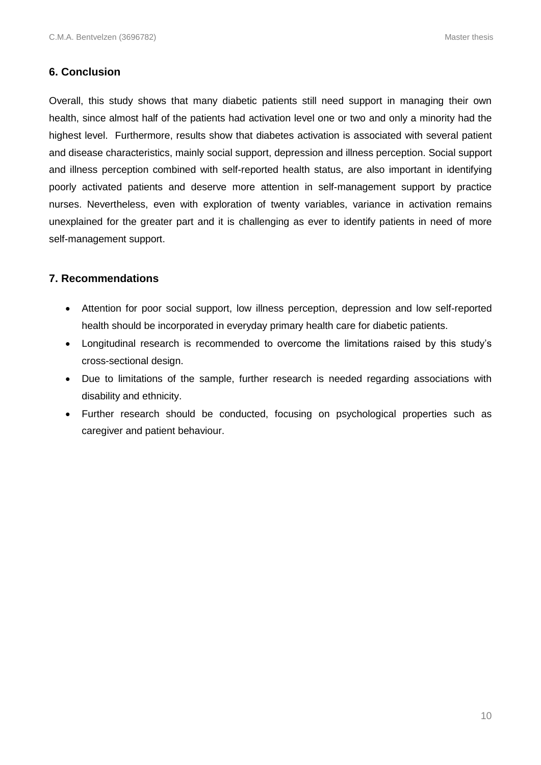## **6. Conclusion**

Overall, this study shows that many diabetic patients still need support in managing their own health, since almost half of the patients had activation level one or two and only a minority had the highest level. Furthermore, results show that diabetes activation is associated with several patient and disease characteristics, mainly social support, depression and illness perception. Social support and illness perception combined with self-reported health status, are also important in identifying poorly activated patients and deserve more attention in self-management support by practice nurses. Nevertheless, even with exploration of twenty variables, variance in activation remains unexplained for the greater part and it is challenging as ever to identify patients in need of more self-management support.

## **7. Recommendations**

- Attention for poor social support, low illness perception, depression and low self-reported health should be incorporated in everyday primary health care for diabetic patients.
- Longitudinal research is recommended to overcome the limitations raised by this study's cross-sectional design.
- Due to limitations of the sample, further research is needed regarding associations with disability and ethnicity.
- Further research should be conducted, focusing on psychological properties such as caregiver and patient behaviour.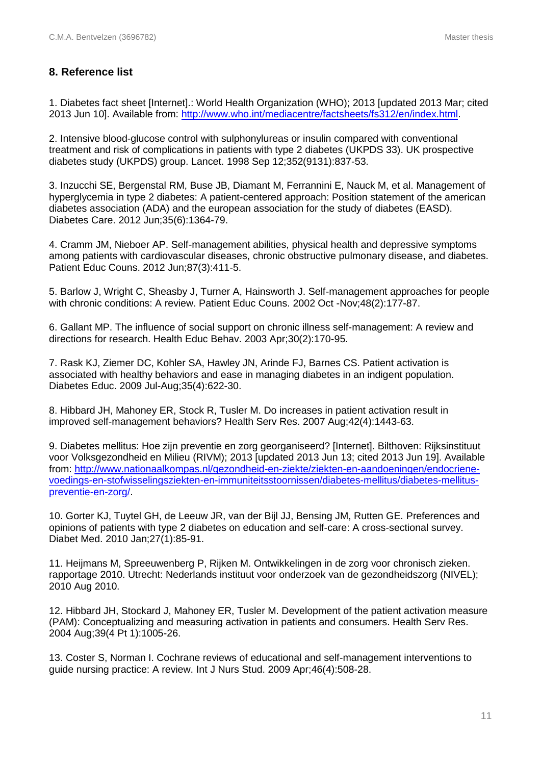# **8. Reference list**

1. Diabetes fact sheet [Internet].: World Health Organization (WHO); 2013 [updated 2013 Mar; cited 2013 Jun 10]. Available from: [http://www.who.int/mediacentre/factsheets/fs312/en/index.html.](http://www.who.int/mediacentre/factsheets/fs312/en/index.html)

2. Intensive blood-glucose control with sulphonylureas or insulin compared with conventional treatment and risk of complications in patients with type 2 diabetes (UKPDS 33). UK prospective diabetes study (UKPDS) group. Lancet. 1998 Sep 12;352(9131):837-53.

3. Inzucchi SE, Bergenstal RM, Buse JB, Diamant M, Ferrannini E, Nauck M, et al. Management of hyperglycemia in type 2 diabetes: A patient-centered approach: Position statement of the american diabetes association (ADA) and the european association for the study of diabetes (EASD). Diabetes Care. 2012 Jun;35(6):1364-79.

4. Cramm JM, Nieboer AP. Self-management abilities, physical health and depressive symptoms among patients with cardiovascular diseases, chronic obstructive pulmonary disease, and diabetes. Patient Educ Couns. 2012 Jun;87(3):411-5.

5. Barlow J, Wright C, Sheasby J, Turner A, Hainsworth J. Self-management approaches for people with chronic conditions: A review. Patient Educ Couns. 2002 Oct -Nov;48(2):177-87.

6. Gallant MP. The influence of social support on chronic illness self-management: A review and directions for research. Health Educ Behav. 2003 Apr;30(2):170-95.

7. Rask KJ, Ziemer DC, Kohler SA, Hawley JN, Arinde FJ, Barnes CS. Patient activation is associated with healthy behaviors and ease in managing diabetes in an indigent population. Diabetes Educ. 2009 Jul-Aug;35(4):622-30.

8. Hibbard JH, Mahoney ER, Stock R, Tusler M. Do increases in patient activation result in improved self-management behaviors? Health Serv Res. 2007 Aug;42(4):1443-63.

9. Diabetes mellitus: Hoe zijn preventie en zorg georganiseerd? [Internet]. Bilthoven: Rijksinstituut voor Volksgezondheid en Milieu (RIVM); 2013 [updated 2013 Jun 13; cited 2013 Jun 19]. Available from: [http://www.nationaalkompas.nl/gezondheid-en-ziekte/ziekten-en-aandoeningen/endocriene](http://www.nationaalkompas.nl/gezondheid-en-ziekte/ziekten-en-aandoeningen/endocriene-voedings-en-stofwisselingsziekten-en-immuniteitsstoornissen/diabetes-mellitus/diabetes-mellitus-preventie-en-zorg/)[voedings-en-stofwisselingsziekten-en-immuniteitsstoornissen/diabetes-mellitus/diabetes-mellitus](http://www.nationaalkompas.nl/gezondheid-en-ziekte/ziekten-en-aandoeningen/endocriene-voedings-en-stofwisselingsziekten-en-immuniteitsstoornissen/diabetes-mellitus/diabetes-mellitus-preventie-en-zorg/)[preventie-en-zorg/.](http://www.nationaalkompas.nl/gezondheid-en-ziekte/ziekten-en-aandoeningen/endocriene-voedings-en-stofwisselingsziekten-en-immuniteitsstoornissen/diabetes-mellitus/diabetes-mellitus-preventie-en-zorg/)

10. Gorter KJ, Tuytel GH, de Leeuw JR, van der Bijl JJ, Bensing JM, Rutten GE. Preferences and opinions of patients with type 2 diabetes on education and self-care: A cross-sectional survey. Diabet Med. 2010 Jan;27(1):85-91.

11. Heijmans M, Spreeuwenberg P, Rijken M. Ontwikkelingen in de zorg voor chronisch zieken. rapportage 2010. Utrecht: Nederlands instituut voor onderzoek van de gezondheidszorg (NIVEL); 2010 Aug 2010.

12. Hibbard JH, Stockard J, Mahoney ER, Tusler M. Development of the patient activation measure (PAM): Conceptualizing and measuring activation in patients and consumers. Health Serv Res. 2004 Aug;39(4 Pt 1):1005-26.

13. Coster S, Norman I. Cochrane reviews of educational and self-management interventions to guide nursing practice: A review. Int J Nurs Stud. 2009 Apr;46(4):508-28.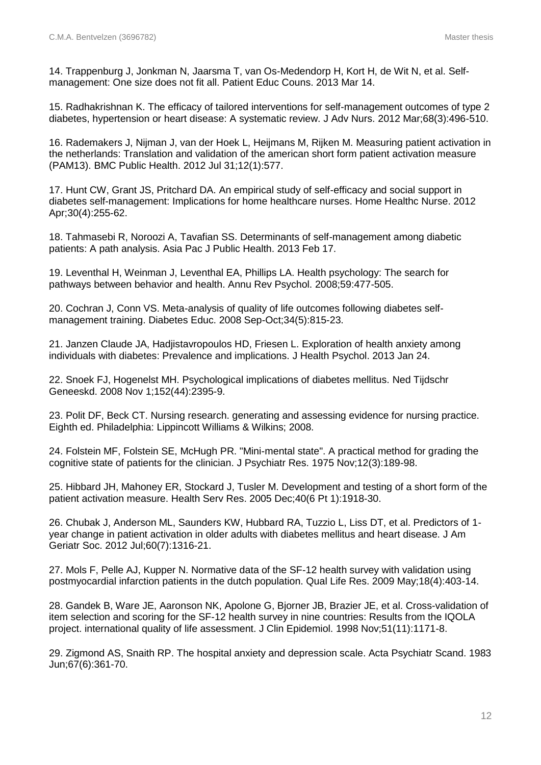14. Trappenburg J, Jonkman N, Jaarsma T, van Os-Medendorp H, Kort H, de Wit N, et al. Selfmanagement: One size does not fit all. Patient Educ Couns. 2013 Mar 14.

15. Radhakrishnan K. The efficacy of tailored interventions for self-management outcomes of type 2 diabetes, hypertension or heart disease: A systematic review. J Adv Nurs. 2012 Mar;68(3):496-510.

16. Rademakers J, Nijman J, van der Hoek L, Heijmans M, Rijken M. Measuring patient activation in the netherlands: Translation and validation of the american short form patient activation measure (PAM13). BMC Public Health. 2012 Jul 31;12(1):577.

17. Hunt CW, Grant JS, Pritchard DA. An empirical study of self-efficacy and social support in diabetes self-management: Implications for home healthcare nurses. Home Healthc Nurse. 2012 Apr;30(4):255-62.

18. Tahmasebi R, Noroozi A, Tavafian SS. Determinants of self-management among diabetic patients: A path analysis. Asia Pac J Public Health. 2013 Feb 17.

19. Leventhal H, Weinman J, Leventhal EA, Phillips LA. Health psychology: The search for pathways between behavior and health. Annu Rev Psychol. 2008;59:477-505.

20. Cochran J, Conn VS. Meta-analysis of quality of life outcomes following diabetes selfmanagement training. Diabetes Educ. 2008 Sep-Oct;34(5):815-23.

21. Janzen Claude JA, Hadjistavropoulos HD, Friesen L. Exploration of health anxiety among individuals with diabetes: Prevalence and implications. J Health Psychol. 2013 Jan 24.

22. Snoek FJ, Hogenelst MH. Psychological implications of diabetes mellitus. Ned Tijdschr Geneeskd. 2008 Nov 1;152(44):2395-9.

23. Polit DF, Beck CT. Nursing research. generating and assessing evidence for nursing practice. Eighth ed. Philadelphia: Lippincott Williams & Wilkins; 2008.

24. Folstein MF, Folstein SE, McHugh PR. "Mini-mental state". A practical method for grading the cognitive state of patients for the clinician. J Psychiatr Res. 1975 Nov;12(3):189-98.

25. Hibbard JH, Mahoney ER, Stockard J, Tusler M. Development and testing of a short form of the patient activation measure. Health Serv Res. 2005 Dec;40(6 Pt 1):1918-30.

26. Chubak J, Anderson ML, Saunders KW, Hubbard RA, Tuzzio L, Liss DT, et al. Predictors of 1 year change in patient activation in older adults with diabetes mellitus and heart disease. J Am Geriatr Soc. 2012 Jul;60(7):1316-21.

27. Mols F, Pelle AJ, Kupper N. Normative data of the SF-12 health survey with validation using postmyocardial infarction patients in the dutch population. Qual Life Res. 2009 May;18(4):403-14.

28. Gandek B, Ware JE, Aaronson NK, Apolone G, Bjorner JB, Brazier JE, et al. Cross-validation of item selection and scoring for the SF-12 health survey in nine countries: Results from the IQOLA project. international quality of life assessment. J Clin Epidemiol. 1998 Nov;51(11):1171-8.

29. Zigmond AS, Snaith RP. The hospital anxiety and depression scale. Acta Psychiatr Scand. 1983 Jun;67(6):361-70.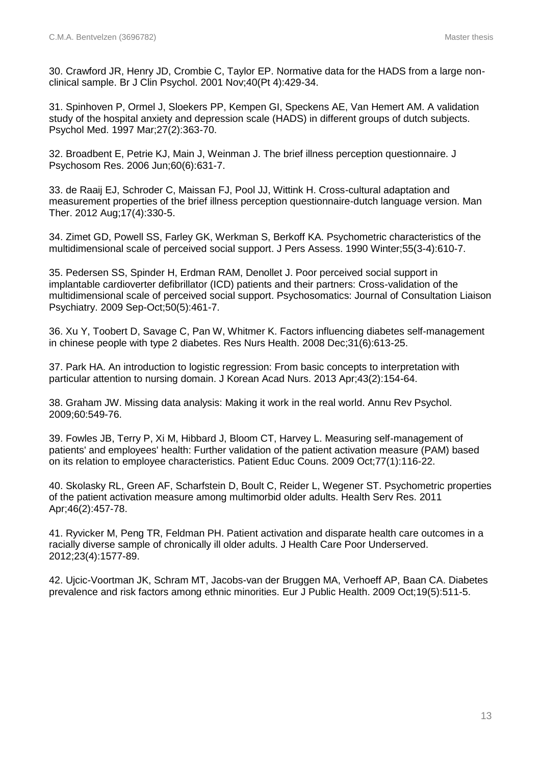30. Crawford JR, Henry JD, Crombie C, Taylor EP. Normative data for the HADS from a large nonclinical sample. Br J Clin Psychol. 2001 Nov;40(Pt 4):429-34.

31. Spinhoven P, Ormel J, Sloekers PP, Kempen GI, Speckens AE, Van Hemert AM. A validation study of the hospital anxiety and depression scale (HADS) in different groups of dutch subjects. Psychol Med. 1997 Mar;27(2):363-70.

32. Broadbent E, Petrie KJ, Main J, Weinman J. The brief illness perception questionnaire. J Psychosom Res. 2006 Jun;60(6):631-7.

33. de Raaij EJ, Schroder C, Maissan FJ, Pool JJ, Wittink H. Cross-cultural adaptation and measurement properties of the brief illness perception questionnaire-dutch language version. Man Ther. 2012 Aug;17(4):330-5.

34. Zimet GD, Powell SS, Farley GK, Werkman S, Berkoff KA. Psychometric characteristics of the multidimensional scale of perceived social support. J Pers Assess. 1990 Winter;55(3-4):610-7.

35. Pedersen SS, Spinder H, Erdman RAM, Denollet J. Poor perceived social support in implantable cardioverter defibrillator (ICD) patients and their partners: Cross-validation of the multidimensional scale of perceived social support. Psychosomatics: Journal of Consultation Liaison Psychiatry. 2009 Sep-Oct;50(5):461-7.

36. Xu Y, Toobert D, Savage C, Pan W, Whitmer K. Factors influencing diabetes self-management in chinese people with type 2 diabetes. Res Nurs Health. 2008 Dec;31(6):613-25.

37. Park HA. An introduction to logistic regression: From basic concepts to interpretation with particular attention to nursing domain. J Korean Acad Nurs. 2013 Apr;43(2):154-64.

38. Graham JW. Missing data analysis: Making it work in the real world. Annu Rev Psychol. 2009;60:549-76.

39. Fowles JB, Terry P, Xi M, Hibbard J, Bloom CT, Harvey L. Measuring self-management of patients' and employees' health: Further validation of the patient activation measure (PAM) based on its relation to employee characteristics. Patient Educ Couns. 2009 Oct;77(1):116-22.

40. Skolasky RL, Green AF, Scharfstein D, Boult C, Reider L, Wegener ST. Psychometric properties of the patient activation measure among multimorbid older adults. Health Serv Res. 2011 Apr;46(2):457-78.

41. Ryvicker M, Peng TR, Feldman PH. Patient activation and disparate health care outcomes in a racially diverse sample of chronically ill older adults. J Health Care Poor Underserved. 2012;23(4):1577-89.

42. Ujcic-Voortman JK, Schram MT, Jacobs-van der Bruggen MA, Verhoeff AP, Baan CA. Diabetes prevalence and risk factors among ethnic minorities. Eur J Public Health. 2009 Oct;19(5):511-5.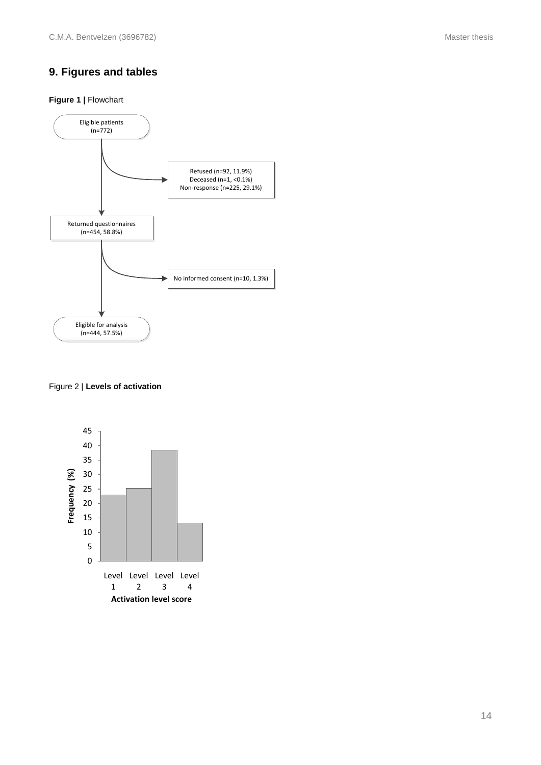# **9. Figures and tables**

#### **Figure 1 | Flowchart**



#### Figure 2 | **Levels of activation**

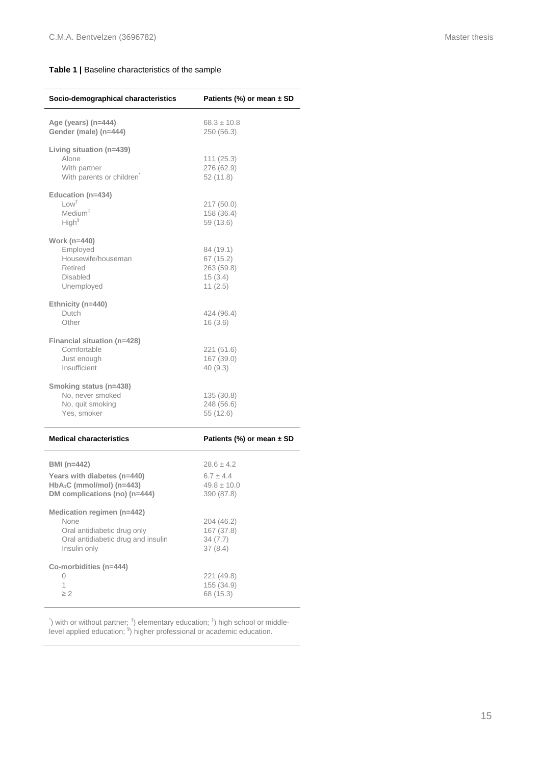#### **Table 1 |** Baseline characteristics of the sample

| Socio-demographical characteristics                                                                                     | Patients (%) or mean $\pm$ SD                                    |  |  |  |
|-------------------------------------------------------------------------------------------------------------------------|------------------------------------------------------------------|--|--|--|
| Age (years) (n=444)<br>Gender (male) (n=444)                                                                            | $68.3 \pm 10.8$<br>250 (56.3)                                    |  |  |  |
| Living situation (n=439)<br>Alone<br>With partner<br>With parents or children                                           | 111(25.3)<br>276 (62.9)<br>52(11.8)                              |  |  |  |
| Education (n=434)<br>Low <sup>†</sup><br>Medium <sup>#</sup><br>High <sup>§</sup>                                       | 217 (50.0)<br>158 (36.4)<br>59 (13.6)                            |  |  |  |
| Work (n=440)<br>Employed<br>Housewife/houseman<br>Retired<br><b>Disabled</b><br>Unemployed                              | 84 (19.1)<br>67 (15.2)<br>263 (59.8)<br>15(3.4)<br>11(2.5)       |  |  |  |
| Ethnicity (n=440)<br>Dutch<br>Other                                                                                     | 424 (96.4)<br>16(3.6)                                            |  |  |  |
| Financial situation (n=428)<br>Comfortable<br>Just enough<br>Insufficient                                               | 221 (51.6)<br>167 (39.0)<br>40(9.3)                              |  |  |  |
| Smoking status (n=438)<br>No, never smoked<br>No, quit smoking<br>Yes, smoker                                           | 135 (30.8)<br>248 (56.6)<br>55 (12.6)                            |  |  |  |
| <b>Medical characteristics</b>                                                                                          | Patients (%) or mean $\pm$ SD                                    |  |  |  |
| BMI (n=442)<br>Years with diabetes (n=440)<br>$HbA1C$ (mmol/mol) (n=443)<br>DM complications (no) (n=444)               | $28.6 \pm 4.2$<br>$6.7 \pm 4.4$<br>$49.8 \pm 10.0$<br>390 (87.8) |  |  |  |
| Medication regimen (n=442)<br>None<br>Oral antidiabetic drug only<br>Oral antidiabetic drug and insulin<br>Insulin only | 204 (46.2)<br>167 (37.8)<br>34(7.7)<br>37(8.4)                   |  |  |  |
| Co-morbidities (n=444)<br>0<br>1<br>$\geq$ 2                                                                            | 221 (49.8)<br>155 (34.9)<br>68 (15.3)                            |  |  |  |

) with or without partner;  $^{\dagger}$ ) elementary education;  $^{\dagger}$ ) high school or middlelevel applied education;  $\frac{1}{3}$ ) higher professional or academic education.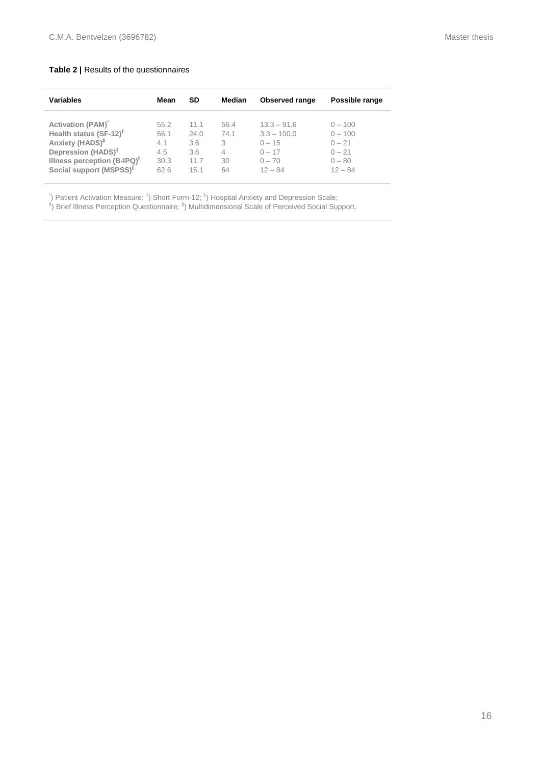#### **Table 2 |** Results of the questionnaires

| <b>Variables</b>                        | Mean | <b>SD</b> | Median | <b>Observed range</b> | Possible range |
|-----------------------------------------|------|-----------|--------|-----------------------|----------------|
| <b>Activation (PAM)</b>                 | 55.2 | 11.1      | 56.4   | $13.3 - 91.6$         | $0 - 100$      |
| Health status (SF-12) <sup>†</sup>      | 66.1 | 24.0      | 74.1   | $3.3 - 100.0$         | $0 - 100$      |
| Anxiety (HADS) <sup>‡</sup>             | 4.1  | 3.6       | 3      | $0 - 15$              | $0 - 21$       |
| Depression (HADS) <sup>‡</sup>          | 4.5  | 3.6       | 4      | $0 - 17$              | $0 - 21$       |
| Illness perception (B-IPQ) <sup>§</sup> | 30.3 | 11.7      | 30     | $0 - 70$              | $0 - 80$       |
| Social support (MSPSS) <sup>  </sup>    | 62.6 | 15.1      | 64     | $12 - 84$             | $12 - 84$      |

<sup>5</sup>) Patient Activation Measure; <sup>†</sup>) Short Form-12; <sup>‡</sup>) Hospital Anxiety and Depression Scale;<br><sup>§</sup>) Brief Illness Perception Questionnaire; <sup>||</sup>) Multidimensional Scale of Perceived Social Support.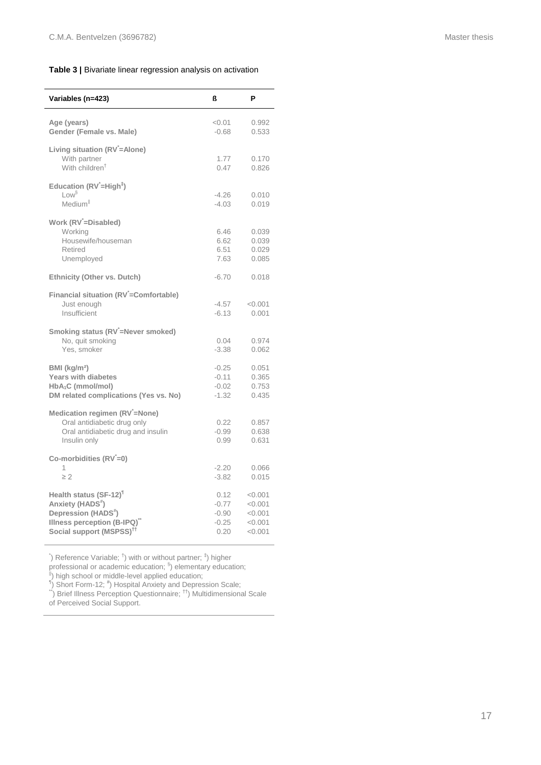#### **Table 3 |** Bivariate linear regression analysis on activation

| Variables (n=423)                                                                                                                                                            | ß                                             | P                                                   |
|------------------------------------------------------------------------------------------------------------------------------------------------------------------------------|-----------------------------------------------|-----------------------------------------------------|
| Age (years)<br>Gender (Female vs. Male)                                                                                                                                      | < 0.01<br>$-0.68$                             | 0.992<br>0.533                                      |
| Living situation (RV = Alone)<br>With partner<br>With children <sup>T</sup>                                                                                                  | 1.77<br>0.47                                  | 0.170<br>0.826                                      |
| Education (RV <sup>'</sup> =High <sup>‡</sup> )<br>$1 \text{ or }$ <sup>§</sup><br>Medium <sup>II</sup>                                                                      | $-4.26$<br>$-4.03$                            | 0.010<br>0.019                                      |
| Work (RV = Disabled)<br>Working<br>Housewife/houseman<br>Retired<br>Unemployed                                                                                               | 6.46<br>6.62<br>6.51<br>7.63                  | 0.039<br>0.039<br>0.029<br>0.085                    |
| <b>Ethnicity (Other vs. Dutch)</b>                                                                                                                                           | $-6.70$                                       | 0.018                                               |
| Financial situation (RV'=Comfortable)<br>Just enough<br>Insufficient                                                                                                         | $-4.57$<br>$-6.13$                            | < 0.001<br>0.001                                    |
| Smoking status (RV <sup>'</sup> =Never smoked)<br>No, quit smoking<br>Yes, smoker                                                                                            | 0.04<br>$-3.38$                               | 0.974<br>0.062                                      |
| BMI (kg/m <sup>2</sup> )<br><b>Years with diabetes</b><br>HbA <sub>1</sub> C (mmol/mol)<br>DM related complications (Yes vs. No)                                             | $-0.25$<br>$-0.11$<br>$-0.02$<br>$-1.32$      | 0.051<br>0.365<br>0.753<br>0.435                    |
| Medication regimen (RV = None)<br>Oral antidiabetic drug only<br>Oral antidiabetic drug and insulin<br>Insulin only                                                          | 0.22<br>$-0.99$<br>0.99                       | 0.857<br>0.638<br>0.631                             |
| Co-morbidities $(RV=0)$<br>1<br>$\geq$ 2                                                                                                                                     | $-2.20$<br>$-3.82$                            | 0.066<br>0.015                                      |
| Health status (SF-12) <sup>1</sup><br>Anxiety (HADS <sup>#</sup> )<br>Depression (HADS <sup>#</sup> )<br>Illness perception (B-IPQ)"<br>Social support (MSPSS) <sup>11</sup> | 0.12<br>$-0.77$<br>$-0.90$<br>$-0.25$<br>0.20 | < 0.001<br>< 0.001<br>< 0.001<br>< 0.001<br>< 0.001 |

) Reference Variable;  $\phi$  with or without partner;  $\phi$  higher

professional or academic education;  $\frac{8}{3}$ ) elementary education;

<sup>ll</sup>) high school or middle-level applied education;<br><sup>¶</sup>) Short Form-12; <sup>#</sup>) Hospital Anxiety and Depression Scale;

\*\*) Brief Illness Perception Questionnaire; <sup>††</sup>) Multidimensional Scale

of Perceived Social Support.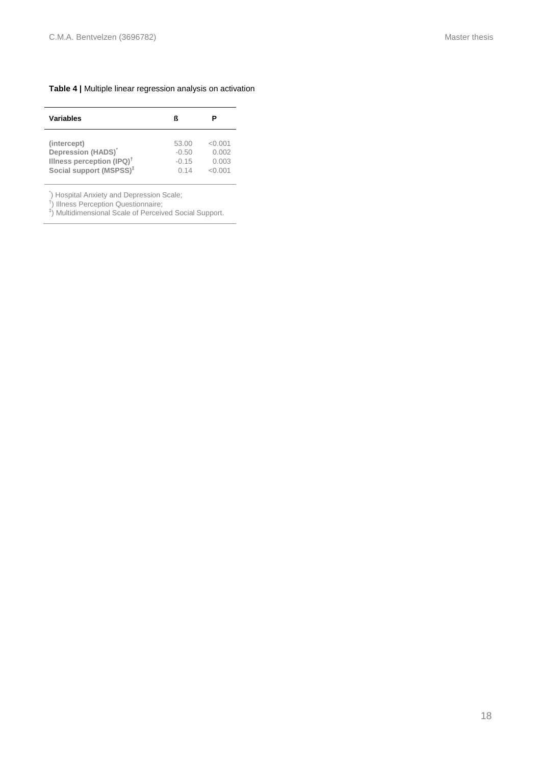#### **Table 4 |** Multiple linear regression analysis on activation

| Variables                             |         |         |
|---------------------------------------|---------|---------|
| (intercept)                           | 53.00   | < 0.001 |
| Depression (HADS)                     | $-0.50$ | 0.002   |
| Illness perception (IPQ) <sup>†</sup> | $-0.15$ | 0.003   |
| Social support (MSPSS) <sup>‡</sup>   | 0.14    | < 0.001 |

\* ) Hospital Anxiety and Depression Scale; † ) Illness Perception Questionnaire; ‡ ) Multidimensional Scale of Perceived Social Support.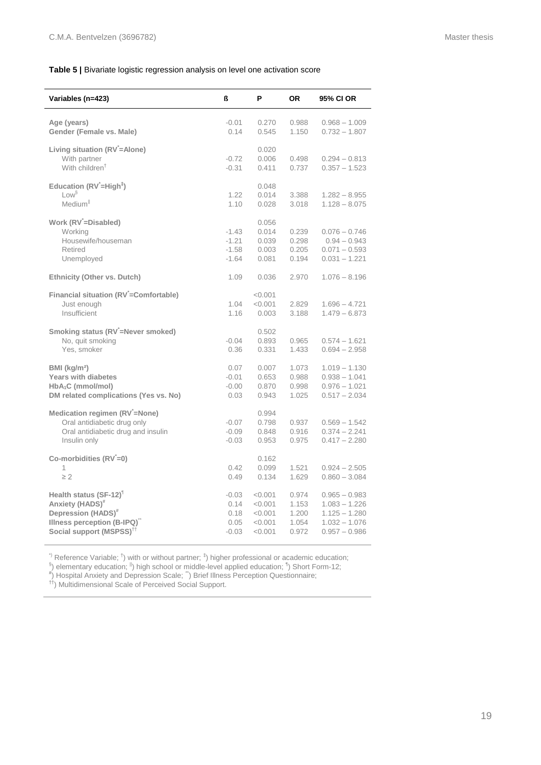l.

l,

#### **Table 5 |** Bivariate logistic regression analysis on level one activation score

| Variables (n=423)                                                                                                                                                         | ß                                          | P                                                   | <b>OR</b>                                 | 95% CI OR                                                                                   |
|---------------------------------------------------------------------------------------------------------------------------------------------------------------------------|--------------------------------------------|-----------------------------------------------------|-------------------------------------------|---------------------------------------------------------------------------------------------|
| Age (years)<br>Gender (Female vs. Male)                                                                                                                                   | $-0.01$<br>0.14                            | 0.270<br>0.545                                      | 0.988<br>1.150                            | $0.968 - 1.009$<br>$0.732 - 1.807$                                                          |
| Living situation (RV <sup>-</sup> =Alone)<br>With partner<br>With children <sup>†</sup>                                                                                   | $-0.72$<br>$-0.31$                         | 0.020<br>0.006<br>0.411                             | 0.498<br>0.737                            | $0.294 - 0.813$<br>$0.357 - 1.523$                                                          |
| Education (RV <sup>'</sup> =High <sup>‡</sup> )<br>$1 \text{ or }$ <sup>§</sup><br>Medium <sup>II</sup>                                                                   | 1.22<br>1.10                               | 0.048<br>0.014<br>0.028                             | 3.388<br>3.018                            | $1.282 - 8.955$<br>$1.128 - 8.075$                                                          |
| Work (RV <sup>'</sup> =Disabled)<br>Working<br>Housewife/houseman<br>Retired<br>Unemployed                                                                                | $-1.43$<br>$-1.21$<br>$-1.58$<br>$-1.64$   | 0.056<br>0.014<br>0.039<br>0.003<br>0.081           | 0.239<br>0.298<br>0.205<br>0.194          | $0.076 - 0.746$<br>$0.94 - 0.943$<br>$0.071 - 0.593$<br>$0.031 - 1.221$                     |
| Ethnicity (Other vs. Dutch)                                                                                                                                               | 1.09                                       | 0.036                                               | 2.970                                     | $1.076 - 8.196$                                                                             |
| Financial situation (RV'=Comfortable)<br>Just enough<br>Insufficient                                                                                                      | 1.04<br>1.16                               | < 0.001<br>< 0.001<br>0.003                         | 2.829<br>3.188                            | $1.696 - 4.721$<br>$1.479 - 6.873$                                                          |
| Smoking status (RV <sup>-</sup> =Never smoked)<br>No, quit smoking<br>Yes, smoker                                                                                         | $-0.04$<br>0.36                            | 0.502<br>0.893<br>0.331                             | 0.965<br>1.433                            | $0.574 - 1.621$<br>$0.694 - 2.958$                                                          |
| BMI (kg/m <sup>2</sup> )<br><b>Years with diabetes</b><br>$HbA_1C$ (mmol/mol)<br>DM related complications (Yes vs. No)                                                    | 0.07<br>$-0.01$<br>$-0.00$<br>0.03         | 0.007<br>0.653<br>0.870<br>0.943                    | 1.073<br>0.988<br>0.998<br>1.025          | $1.019 - 1.130$<br>$0.938 - 1.041$<br>$0.976 - 1.021$<br>$0.517 - 2.034$                    |
| Medication regimen (RV <sup>-</sup> =None)<br>Oral antidiabetic drug only<br>Oral antidiabetic drug and insulin<br>Insulin only                                           | $-0.07$<br>$-0.09$<br>$-0.03$              | 0.994<br>0.798<br>0.848<br>0.953                    | 0.937<br>0.916<br>0.975                   | $0.569 - 1.542$<br>$0.374 - 2.241$<br>$0.417 - 2.280$                                       |
| Co-morbidities $(RV=0)$<br>1<br>$\geq 2$                                                                                                                                  | 0.42<br>0.49                               | 0.162<br>0.099<br>0.134                             | 1.521<br>1.629                            | $0.924 - 2.505$<br>$0.860 - 3.084$                                                          |
| Health status (SF-12) <sup>1</sup><br>Anxiety (HADS) <sup>#</sup><br>Depression (HADS) <sup>#</sup><br>Illness perception (B-IPQ)<br>Social support (MSPSS) <sup>††</sup> | $-0.03$<br>0.14<br>0.18<br>0.05<br>$-0.03$ | < 0.001<br>< 0.001<br>< 0.001<br>< 0.001<br>< 0.001 | 0.974<br>1.153<br>1.200<br>1.054<br>0.972 | $0.965 - 0.983$<br>$1.083 - 1.226$<br>$1.125 - 1.280$<br>$1.032 - 1.076$<br>$0.957 - 0.986$ |

 $\dot{p}$  Reference Variable;  $\dot{p}$  with or without partner;  $\dot{p}$  higher professional or academic education;

§) elementary education; <sup>li</sup>) high school or middle-level applied education; <sup>¶</sup>) Short Form-12;<br><sup>#</sup>) Hospital Anxiety and Depression Scale; ¨) Brief Illness Perception Questionnaire;

††) Multidimensional Scale of Perceived Social Support.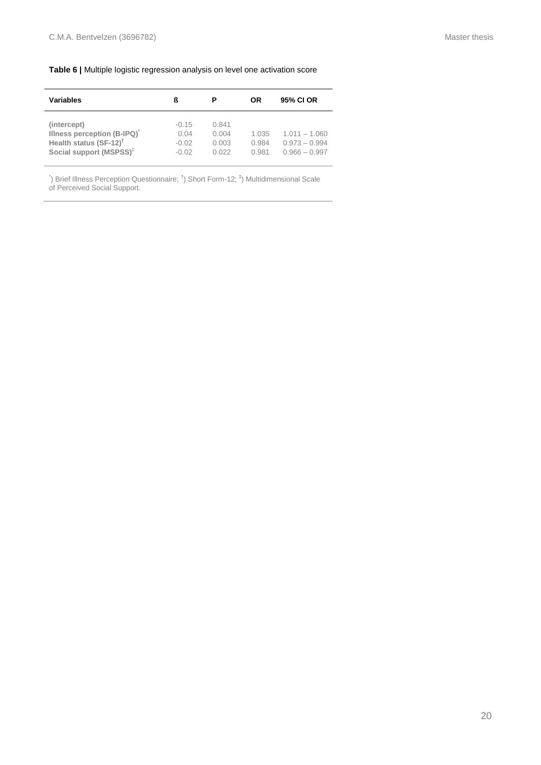#### **Table 6 |** Multiple logistic regression analysis on level one activation score

| <b>Variables</b>                                                                                                       |                                       |                                  | OR                      | 95% CI OR                                             |
|------------------------------------------------------------------------------------------------------------------------|---------------------------------------|----------------------------------|-------------------------|-------------------------------------------------------|
| (intercept)<br>Illness perception (B-IPQ)<br>Health status (SF-12) <sup>†</sup><br>Social support (MSPSS) <sup>‡</sup> | $-0.15$<br>0.04<br>$-0.02$<br>$-0.02$ | 0.841<br>0.004<br>0.003<br>0.022 | 1.035<br>0.984<br>0.981 | $1.011 - 1.060$<br>$0.973 - 0.994$<br>$0.966 - 0.997$ |

<sup>\*</sup>) Brief Illness Perception Questionnaire; <sup>†</sup>) Short Form-12; <sup>‡</sup>) Multidimensional Scale of Perceived Social Support.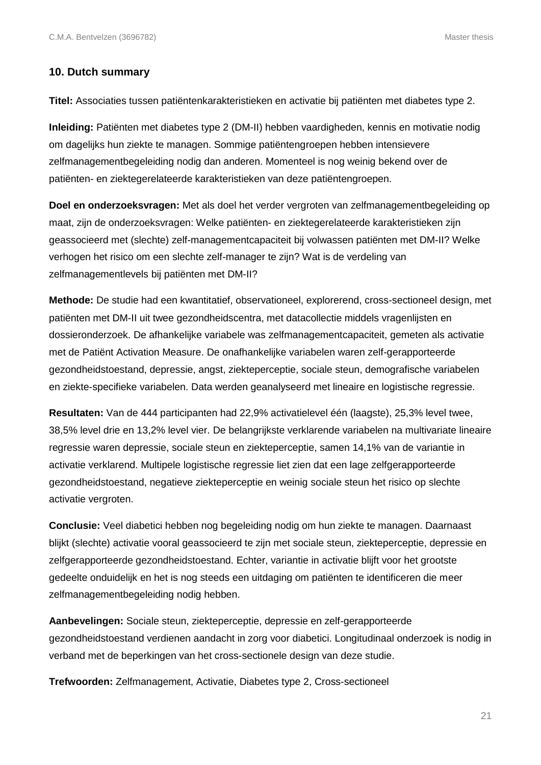## **10. Dutch summary**

**Titel:** Associaties tussen patiëntenkarakteristieken en activatie bij patiënten met diabetes type 2.

**Inleiding:** Patiënten met diabetes type 2 (DM-II) hebben vaardigheden, kennis en motivatie nodig om dagelijks hun ziekte te managen. Sommige patiëntengroepen hebben intensievere zelfmanagementbegeleiding nodig dan anderen. Momenteel is nog weinig bekend over de patiënten- en ziektegerelateerde karakteristieken van deze patiëntengroepen.

**Doel en onderzoeksvragen:** Met als doel het verder vergroten van zelfmanagementbegeleiding op maat, zijn de onderzoeksvragen: Welke patiënten- en ziektegerelateerde karakteristieken zijn geassocieerd met (slechte) zelf-managementcapaciteit bij volwassen patiënten met DM-II? Welke verhogen het risico om een slechte zelf-manager te zijn? Wat is de verdeling van zelfmanagementlevels bij patiënten met DM-II?

**Methode:** De studie had een kwantitatief, observationeel, explorerend, cross-sectioneel design, met patiënten met DM-II uit twee gezondheidscentra, met datacollectie middels vragenlijsten en dossieronderzoek. De afhankelijke variabele was zelfmanagementcapaciteit, gemeten als activatie met de Patiënt Activation Measure. De onafhankelijke variabelen waren zelf-gerapporteerde gezondheidstoestand, depressie, angst, ziekteperceptie, sociale steun, demografische variabelen en ziekte-specifieke variabelen. Data werden geanalyseerd met lineaire en logistische regressie.

**Resultaten:** Van de 444 participanten had 22,9% activatielevel één (laagste), 25,3% level twee, 38,5% level drie en 13,2% level vier. De belangrijkste verklarende variabelen na multivariate lineaire regressie waren depressie, sociale steun en ziekteperceptie, samen 14,1% van de variantie in activatie verklarend. Multipele logistische regressie liet zien dat een lage zelfgerapporteerde gezondheidstoestand, negatieve ziekteperceptie en weinig sociale steun het risico op slechte activatie vergroten.

**Conclusie:** Veel diabetici hebben nog begeleiding nodig om hun ziekte te managen. Daarnaast blijkt (slechte) activatie vooral geassocieerd te zijn met sociale steun, ziekteperceptie, depressie en zelfgerapporteerde gezondheidstoestand. Echter, variantie in activatie blijft voor het grootste gedeelte onduidelijk en het is nog steeds een uitdaging om patiënten te identificeren die meer zelfmanagementbegeleiding nodig hebben.

**Aanbevelingen:** Sociale steun, ziekteperceptie, depressie en zelf-gerapporteerde gezondheidstoestand verdienen aandacht in zorg voor diabetici. Longitudinaal onderzoek is nodig in verband met de beperkingen van het cross-sectionele design van deze studie.

**Trefwoorden:** Zelfmanagement, Activatie, Diabetes type 2, Cross-sectioneel